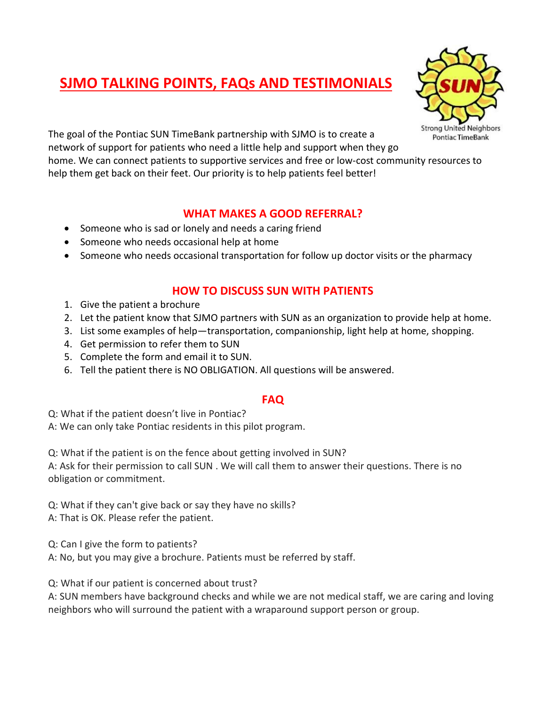# **SJMO TALKING POINTS, FAQs AND TESTIMONIALS**



The goal of the Pontiac SUN TimeBank partnership with SJMO is to create a network of support for patients who need a little help and support when they go home. We can connect patients to supportive services and free or low-cost community resources to

help them get back on their feet. Our priority is to help patients feel better!

#### **WHAT MAKES A GOOD REFERRAL?**

- Someone who is sad or lonely and needs a caring friend
- Someone who needs occasional help at home
- Someone who needs occasional transportation for follow up doctor visits or the pharmacy

### **HOW TO DISCUSS SUN WITH PATIENTS**

- 1. Give the patient a brochure
- 2. Let the patient know that SJMO partners with SUN as an organization to provide help at home.
- 3. List some examples of help—transportation, companionship, light help at home, shopping.
- 4. Get permission to refer them to SUN
- 5. Complete the form and email it to SUN.
- 6. Tell the patient there is NO OBLIGATION. All questions will be answered.

#### **FAQ**

Q: What if the patient doesn't live in Pontiac?

A: We can only take Pontiac residents in this pilot program.

Q: What if the patient is on the fence about getting involved in SUN?

A: Ask for their permission to call SUN . We will call them to answer their questions. There is no obligation or commitment.

Q: What if they can't give back or say they have no skills?

A: That is OK. Please refer the patient.

Q: Can I give the form to patients?

A: No, but you may give a brochure. Patients must be referred by staff.

Q: What if our patient is concerned about trust?

A: SUN members have background checks and while we are not medical staff, we are caring and loving neighbors who will surround the patient with a wraparound support person or group.